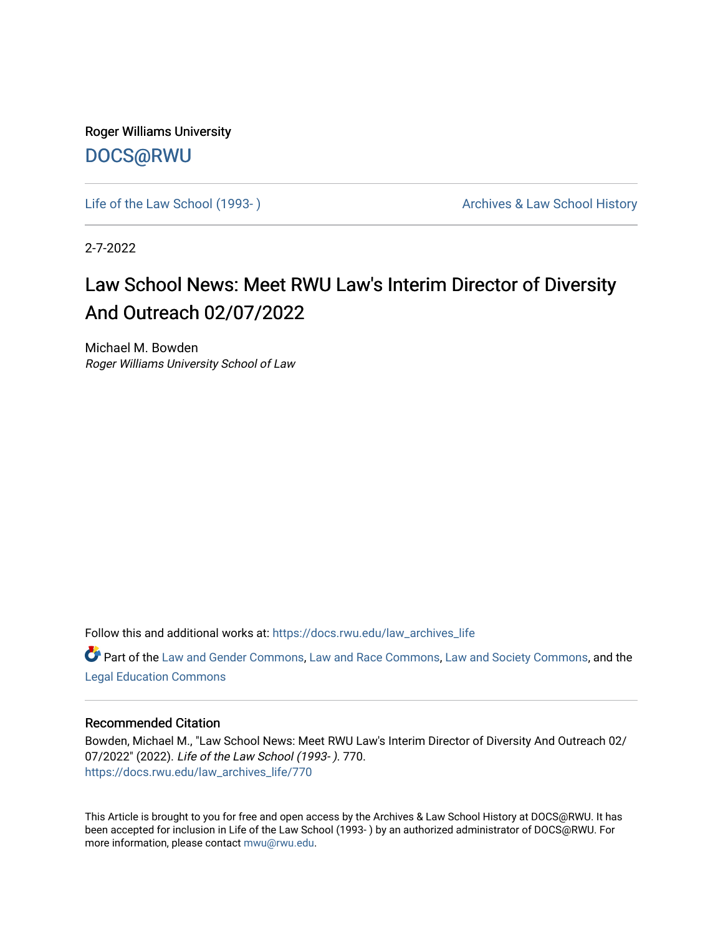Roger Williams University [DOCS@RWU](https://docs.rwu.edu/)

Life of the Law School (1993-) **Archives & Law School History** Archives & Law School History

2-7-2022

## Law School News: Meet RWU Law's Interim Director of Diversity And Outreach 02/07/2022

Michael M. Bowden Roger Williams University School of Law

Follow this and additional works at: [https://docs.rwu.edu/law\\_archives\\_life](https://docs.rwu.edu/law_archives_life?utm_source=docs.rwu.edu%2Flaw_archives_life%2F770&utm_medium=PDF&utm_campaign=PDFCoverPages)

Part of the [Law and Gender Commons,](http://network.bepress.com/hgg/discipline/1298?utm_source=docs.rwu.edu%2Flaw_archives_life%2F770&utm_medium=PDF&utm_campaign=PDFCoverPages) [Law and Race Commons,](http://network.bepress.com/hgg/discipline/1300?utm_source=docs.rwu.edu%2Flaw_archives_life%2F770&utm_medium=PDF&utm_campaign=PDFCoverPages) [Law and Society Commons](http://network.bepress.com/hgg/discipline/853?utm_source=docs.rwu.edu%2Flaw_archives_life%2F770&utm_medium=PDF&utm_campaign=PDFCoverPages), and the [Legal Education Commons](http://network.bepress.com/hgg/discipline/857?utm_source=docs.rwu.edu%2Flaw_archives_life%2F770&utm_medium=PDF&utm_campaign=PDFCoverPages) 

## Recommended Citation

Bowden, Michael M., "Law School News: Meet RWU Law's Interim Director of Diversity And Outreach 02/ 07/2022" (2022). Life of the Law School (1993- ). 770. [https://docs.rwu.edu/law\\_archives\\_life/770](https://docs.rwu.edu/law_archives_life/770?utm_source=docs.rwu.edu%2Flaw_archives_life%2F770&utm_medium=PDF&utm_campaign=PDFCoverPages)

This Article is brought to you for free and open access by the Archives & Law School History at DOCS@RWU. It has been accepted for inclusion in Life of the Law School (1993- ) by an authorized administrator of DOCS@RWU. For more information, please contact [mwu@rwu.edu](mailto:mwu@rwu.edu).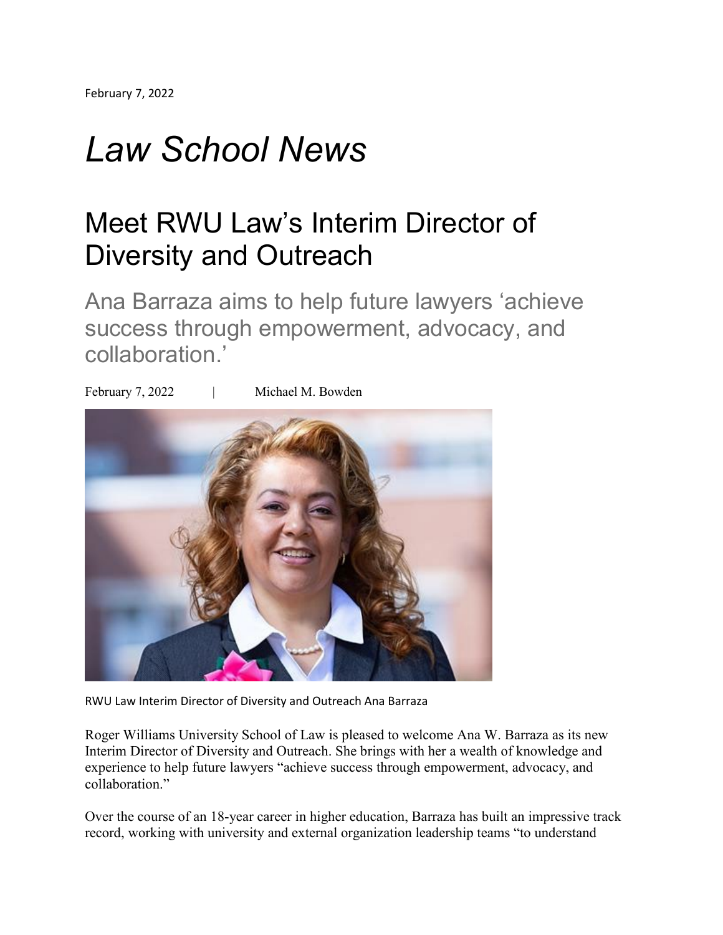## *Law School News*

## Meet RWU Law's Interim Director of Diversity and Outreach

Ana Barraza aims to help future lawyers 'achieve success through empowerment, advocacy, and collaboration.'

February 7, 2022 | Michael M. Bowden



RWU Law Interim Director of Diversity and Outreach Ana Barraza

Roger Williams University School of Law is pleased to welcome Ana W. Barraza as its new Interim Director of Diversity and Outreach. She brings with her a wealth of knowledge and experience to help future lawyers "achieve success through empowerment, advocacy, and collaboration."

Over the course of an 18-year career in higher education, Barraza has built an impressive track record, working with university and external organization leadership teams "to understand